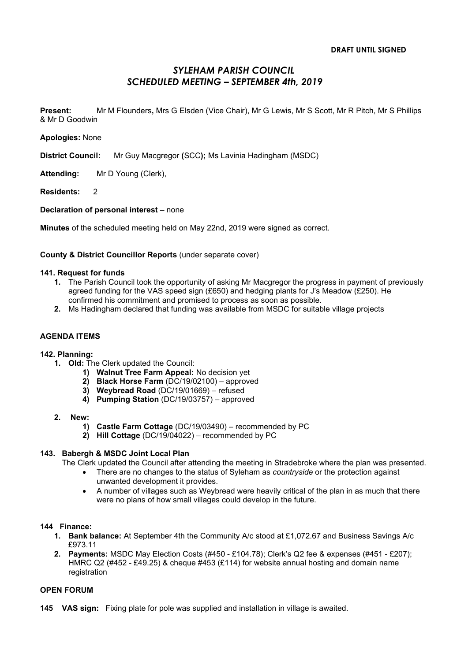# SYLEHAM PARISH COUNCIL SCHEDULED MEETING – SEPTEMBER 4th, 2019

Present: Mr M Flounders, Mrs G Elsden (Vice Chair), Mr G Lewis, Mr S Scott, Mr R Pitch, Mr S Phillips & Mr D Goodwin

Apologies: None

District Council: Mr Guy Macgregor (SCC); Ms Lavinia Hadingham (MSDC)

Attending: Mr D Young (Clerk),

Residents: 2

# Declaration of personal interest – none

Minutes of the scheduled meeting held on May 22nd, 2019 were signed as correct.

# County & District Councillor Reports (under separate cover)

#### 141. Request for funds

- 1. The Parish Council took the opportunity of asking Mr Macgregor the progress in payment of previously agreed funding for the VAS speed sign (£650) and hedging plants for J's Meadow (£250). He confirmed his commitment and promised to process as soon as possible.
- 2. Ms Hadingham declared that funding was available from MSDC for suitable village projects

#### AGENDA ITEMS

#### 142. Planning:

- 1. Old: The Clerk updated the Council:
	- 1) Walnut Tree Farm Appeal: No decision yet
	- 2) Black Horse Farm (DC/19/02100) approved
	- 3) Weybread Road (DC/19/01669) refused
	- 4) Pumping Station (DC/19/03757) approved
- 2. New:
	- 1) Castle Farm Cottage (DC/19/03490) recommended by PC
	- 2) Hill Cottage (DC/19/04022) recommended by PC

# 143. Babergh & MSDC Joint Local Plan

The Clerk updated the Council after attending the meeting in Stradebroke where the plan was presented.

- There are no changes to the status of Syleham as *countryside* or the protection against unwanted development it provides.
- A number of villages such as Weybread were heavily critical of the plan in as much that there were no plans of how small villages could develop in the future.

#### 144 Finance:

- 1. Bank balance: At September 4th the Community A/c stood at £1,072.67 and Business Savings A/c £973.11
- 2. Payments: MSDC May Election Costs (#450 £104.78); Clerk's Q2 fee & expenses (#451 £207); HMRC Q2 (#452 - £49.25) & cheque #453 (£114) for website annual hosting and domain name registration

# OPEN FORUM

145 VAS sign: Fixing plate for pole was supplied and installation in village is awaited.